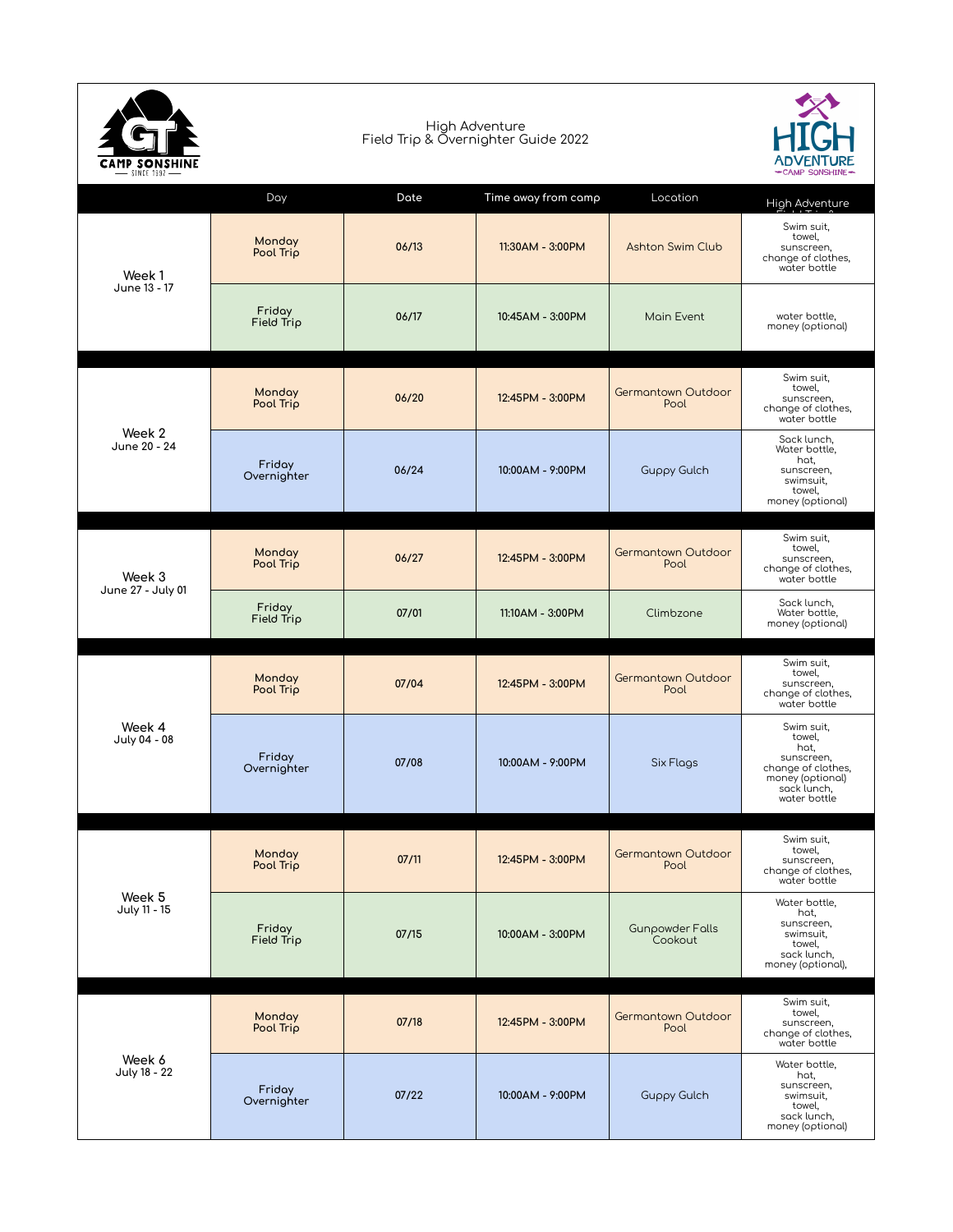| <b>SINCE 1992</b>           |                       | -CAMP SONSHINE- |                     |                                   |                                                                                                                     |
|-----------------------------|-----------------------|-----------------|---------------------|-----------------------------------|---------------------------------------------------------------------------------------------------------------------|
|                             | Day                   | Date            | Time away from camp | Location                          | High Adventure                                                                                                      |
| Week 1<br>June 13 - 17      | Monday<br>Pool Trip   | 06/13           | 11:30AM - 3:00PM    | <b>Ashton Swim Club</b>           | Swim suit,<br>towel,<br>sunscreen,<br>change of clothes,<br>water bottle                                            |
|                             | Friday<br>Field Trip  | 06/17           | 10:45AM - 3:00PM    | Main Event                        | water bottle,<br>money (optional)                                                                                   |
| Week 2<br>June 20 - 24      | Monday<br>Pool Trip   | 06/20           | 12:45PM - 3:00PM    | <b>Germantown Outdoor</b><br>Pool | Swim suit,<br>towel,<br>sunscreen,<br>change of clothes,<br>water bottle                                            |
|                             | Friday<br>Overnighter | 06/24           | 10:00AM - 9:00PM    | <b>Guppy Gulch</b>                | Sack lunch,<br>Water bottle,<br>hat,<br>sunscreen,<br>swimsuit,<br>towel,<br>money (optional)                       |
| Week 3<br>June 27 - July 01 | Monday<br>Pool Trip   | 06/27           | 12:45PM - 3:00PM    | <b>Germantown Outdoor</b><br>Pool | Swim suit,<br>towel,<br>sunscreen,<br>change of clothes,<br>water bottle                                            |
|                             | Friday<br>Field Trip  | 07/01           | 11:10AM - 3:00PM    | Climbzone                         | Sack lunch,<br>Water bottle,<br>money (optional)                                                                    |
| Week 4<br>July 04 - 08      | Monday<br>Pool Trip   | 07/04           | 12:45PM - 3:00PM    | <b>Germantown Outdoor</b><br>Pool | Swim suit,<br>towel,<br>sunscreen,<br>change of clothes,<br>water bottle                                            |
|                             | Friday<br>Overnighter | 07/08           | 10:00AM - 9:00PM    | <b>Six Flags</b>                  | Swim suit,<br>towel,<br>hat,<br>sunscreen,<br>change of clothes,<br>money (optional)<br>sack lunch,<br>water bottle |
| Week 5<br>July 11 - 15      | Monday<br>Pool Trip   | 07/11           | 12:45PM - 3:00PM    | <b>Germantown Outdoor</b><br>Pool | Swim suit,<br>towel,<br>sunscreen,<br>change of clothes,<br>water bottle                                            |
|                             | Friday<br>Field Trip  | 07/15           | 10:00AM - 3:00PM    | <b>Gunpowder Falls</b><br>Cookout | Water bottle,<br>hat,<br>sunscreen,<br>swimsuit,<br>towel,<br>sack lunch,<br>money (optional),                      |
| Week 6<br>July 18 - 22      | Monday<br>Pool Trip   | 07/18           | 12:45PM - 3:00PM    | <b>Germantown Outdoor</b><br>Pool | Swim suit,<br>towel,<br>sunscreen,<br>change of clothes,<br>water bottle                                            |
|                             | Friday<br>Overnighter | 07/22           | 10:00AM - 9:00PM    | <b>Guppy Gulch</b>                | Water bottle,<br>hat,<br>sunscreen,<br>swimsuit,<br>towel,<br>sack lunch,<br>money (optional)                       |